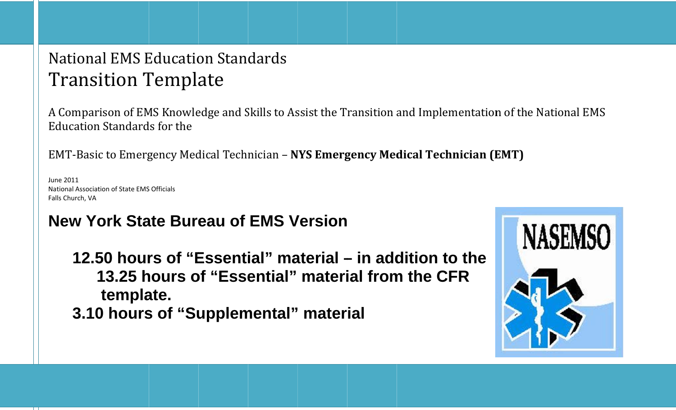## National EMS Education Standards Transition Template

A Comparison of EMS Knowledge and Skills to Assist the Transition and Implementation of the National EMS Education Standards for the

E EMT‐Basic c to Emerg gency Med dical Tech nician – **N NYS Emerg gency Med dical Tech hnician (E EMT)**

June 2011 National Association of State EMS Officials F Falls Church, VA

## **NNew Yoork Staate Bureeau of EMS VVersion**

**12.550 hour rs of "EEssenti ial" maaterial –– in adddition tto the 113.25 hhours oof "Esseential" materi ial fromm the CCFR 3.10 0 hours s of "Su upplem mental" mater ial**  template.

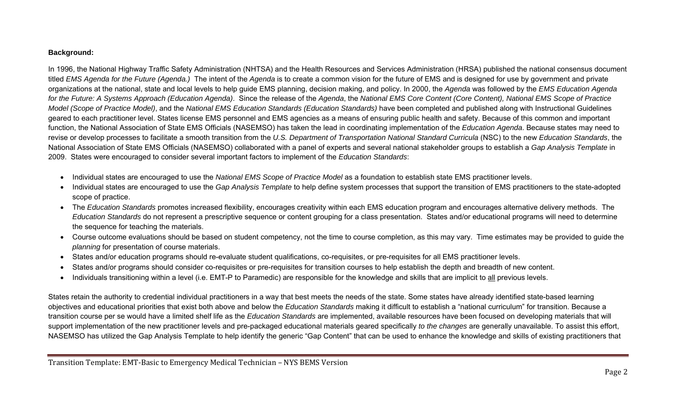## **Background:**

In 1996, the National Highway Traffic Safety Administration (NHTSA) and the Health Resources and Services Administration (HRSA) published the national consensus document titled *EMS Agenda for the Future (Agenda.)* The intent of the *Agenda* is to create a common vision for the future of EMS and is designed for use by government and private organizations at the national, state and local levels to help guide EMS planning, decision making, and policy. In 2000, the *Agenda* was followed by the *EMS Education Agenda for the Future: A Systems Approach (Education Agenda)*. Since the release of the *Agenda*, the *National EMS Core Content (Core Content), National EMS Scope of Practice Model (Scope of Practice Model)*, and the *National EMS Education Standards (Education Standards)* have been completed and published along with Instructional Guidelines geared to each practitioner level. States license EMS personnel and EMS agencies as a means of ensuring public health and safety. Because of this common and important function, the National Association of State EMS Officials (NASEMSO) has taken the lead in coordinating implementation of the *Education Agenda*. Because states may need to revise or develop processes to facilitate a smooth transition from the *U.S. Department of Transportation National Standard Curricula* (NSC) to the new *Education Standards*, the National Association of State EMS Officials (NASEMSO) collaborated with a panel of experts and several national stakeholder groups to establish a *Gap Analysis Template* in 2009. States were encouraged to consider several important factors to implement of the *Education Standards*:

- Individual states are encouraged to use the *National EMS Scope of Practice Model* as a foundation to establish state EMS practitioner levels.
- Individual states are encouraged to use the *Gap Analysis Template* to help define system processes that support the transition of EMS practitioners to the state-adopted scope of practice.
- The *Education Standards* promotes increased flexibility, encourages creativity within each EMS education program and encourages alternative delivery methods. The *Education Standards* do not represent a prescriptive sequence or content grouping for a class presentation. States and/or educational programs will need to determine the sequence for teaching the materials.
- Course outcome evaluations should be based on student competency, not the time to course completion, as this may vary. Time estimates may be provided to guide the *planning* for presentation of course materials.
- States and/or education programs should re-evaluate student qualifications, co-requisites, or pre-requisites for all EMS practitioner levels.
- States and/or programs should consider co-requisites or pre-requisites for transition courses to help establish the depth and breadth of new content.
- Individuals transitioning within a level (i.e. EMT-P to Paramedic) are responsible for the knowledge and skills that are implicit to all previous levels.

States retain the authority to credential individual practitioners in a way that best meets the needs of the state. Some states have already identified state-based learning objectives and educational priorities that exist both above and below the *Education Standards* making it difficult to establish a "national curriculum" for transition. Because a transition course per se would have a limited shelf life as the *Education Standards* are implemented, available resources have been focused on developing materials that will support implementation of the new practitioner levels and pre-packaged educational materials geared specifically *to the changes* are generally unavailable. To assist this effort, NASEMSO has utilized the Gap Analysis Template to help identify the generic "Gap Content" that can be used to enhance the knowledge and skills of existing practitioners that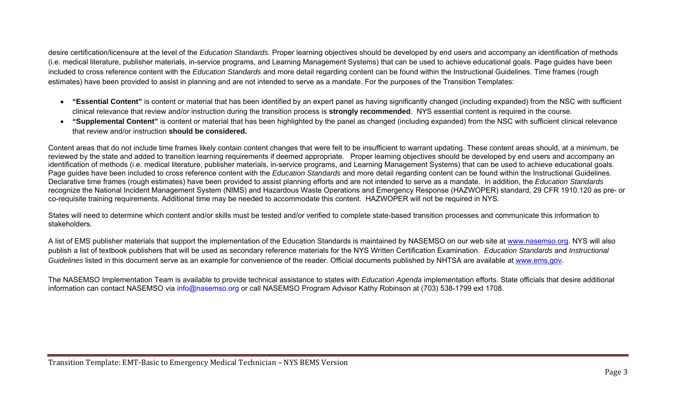desire certification/licensure at the level of the *Education Standards*. Proper learning objectives should be developed by end users and accompany an identification of methods (i.e. medical literature, publisher materials, in-service programs, and Learning Management Systems) that can be used to achieve educational goals. Page guides have been included to cross reference content with the *Education Standards* and more detail regarding content can be found within the Instructional Guidelines. Time frames (rough estimates) have been provided to assist in planning and are not intended to serve as a mandate. For the purposes of the Transition Templates:

- **"Essential Content"** is content or material that has been identified by an expert panel as having significantly changed (including expanded) from the NSC with sufficient clinical relevance that review and/or instruction during the transition process is **strongly recommended**. NYS essential content is required in the course.
- **"Supplemental Content"** is content or material that has been highlighted by the panel as changed (including expanded) from the NSC with sufficient clinical relevance that review and/or instruction **should be considered.**

Content areas that do not include time frames likely contain content changes that were felt to be insufficient to warrant updating. These content areas should, at a minimum, be reviewed by the state and added to transition learning requirements if deemed appropriate. Proper learning objectives should be developed by end users and accompany an identification of methods (i.e. medical literature, publisher materials, in-service programs, and Learning Management Systems) that can be used to achieve educational goals. Page guides have been included to cross reference content with the *Education Standards* and more detail regarding content can be found within the Instructional Guidelines. Declarative time frames (rough estimates) have been provided to assist planning efforts and are not intended to serve as a mandate. In addition, the *Education Standards* recognize the National Incident Management System (NIMS) and Hazardous Waste Operations and Emergency Response (HAZWOPER) standard, 29 CFR 1910.120 as pre- or co-requisite training requirements. Additional time may be needed to accommodate this content. HAZWOPER will not be required in NYS.

States will need to determine which content and/or skills must be tested and/or verified to complete state-based transition processes and communicate this information to stakeholders.

A list of EMS publisher materials that support the implementation of the Education Standards is maintained by NASEMSO on our web site at www.nasemso.org. NYS will also publish a list of textbook publishers that will be used as secondary reference materials for the NYS Written Certification Examination. *Education Standards* and *Instructional Guidelines* listed in this document serve as an example for convenience of the reader. Official documents published by NHTSA are available at www.ems.gov.

The NASEMSO Implementation Team is available to provide technical assistance to states with *Education Agenda* implementation efforts. State officials that desire additional information can contact NASEMSO via info@nasemso.org or call NASEMSO Program Advisor Kathy Robinson at (703) 538-1799 ext 1708.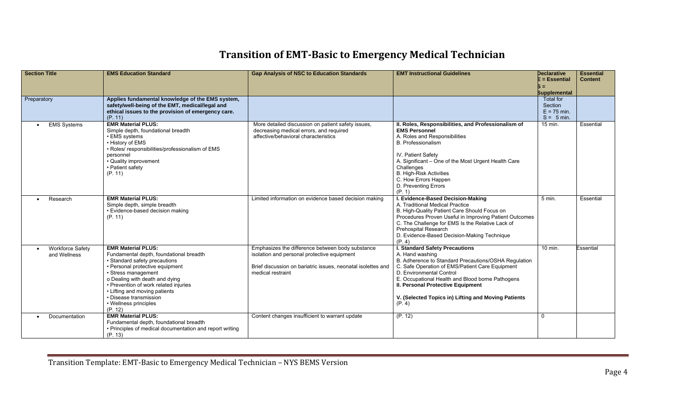## **Transition of EMTBasic to Emergency Medical Technician**

| <b>Section Title</b>                    | <b>EMS Education Standard</b>                                                                                                                                                                                                                                                                                                             | <b>Gap Analysis of NSC to Education Standards</b>                                                                                                                                    | <b>EMT Instructional Guidelines</b>                                                                                                                                                                                                                                                                                                                       | <b>Declarative</b><br>$E = E$ ssential<br>Б =<br><b>Supplemental</b> | <b>Essential</b><br><b>Content</b> |
|-----------------------------------------|-------------------------------------------------------------------------------------------------------------------------------------------------------------------------------------------------------------------------------------------------------------------------------------------------------------------------------------------|--------------------------------------------------------------------------------------------------------------------------------------------------------------------------------------|-----------------------------------------------------------------------------------------------------------------------------------------------------------------------------------------------------------------------------------------------------------------------------------------------------------------------------------------------------------|----------------------------------------------------------------------|------------------------------------|
| Preparatory                             | Applies fundamental knowledge of the EMS system,<br>safety/well-being of the EMT, medical/legal and<br>ethical issues to the provision of emergency care.<br>(P. 11)                                                                                                                                                                      |                                                                                                                                                                                      |                                                                                                                                                                                                                                                                                                                                                           | <b>Total for</b><br>Section<br>$E = 75$ min.<br>$S = 5$ min.         |                                    |
| <b>EMS Systems</b><br>$\bullet$         | <b>EMR Material PLUS:</b><br>Simple depth, foundational breadth<br>• EMS systems<br>• History of EMS<br>· Roles/ responsibilities/professionalism of EMS<br>personnel<br>• Quality improvement<br>• Patient safety<br>(P. 11)                                                                                                             | More detailed discussion on patient safety issues,<br>decreasing medical errors, and required<br>affective/behavioral characteristics                                                | II. Roles, Responsibilities, and Professionalism of<br><b>EMS Personnel</b><br>A. Roles and Responsibilities<br><b>B.</b> Professionalism<br><b>IV. Patient Safety</b><br>A. Significant – One of the Most Urgent Health Care<br>Challenges<br><b>B. High-Risk Activities</b><br>C. How Errors Happen<br>D. Preventing Errors<br>(P. 1)                   | 15 min.                                                              | Essential                          |
| Research                                | <b>EMR Material PLUS:</b><br>Simple depth, simple breadth<br>• Evidence-based decision making<br>(P. 11)                                                                                                                                                                                                                                  | Limited information on evidence based decision making                                                                                                                                | I. Evidence-Based Decision-Making<br>A. Traditional Medical Practice<br>B. High-Quality Patient Care Should Focus on<br>Procedures Proven Useful in Improving Patient Outcomes<br>C. The Challenge for EMS Is the Relative Lack of<br><b>Prehospital Research</b><br>D. Evidence-Based Decision-Making Technique<br>(P. 4)                                | 5 min.                                                               | Essential                          |
| <b>Workforce Safety</b><br>and Wellness | <b>EMR Material PLUS:</b><br>Fundamental depth, foundational breadth<br>• Standard safety precautions<br>• Personal protective equipment<br>• Stress management<br>o Dealing with death and dying<br>• Prevention of work related injuries<br>• Lifting and moving patients<br>• Disease transmission<br>• Wellness principles<br>(P. 12) | Emphasizes the difference between body substance<br>isolation and personal protective equipment<br>Brief discussion on bariatric issues, neonatal isolettes and<br>medical restraint | <b>I. Standard Safety Precautions</b><br>A. Hand washing<br>B. Adherence to Standard Precautions/OSHA Regulation<br>C. Safe Operation of EMS/Patient Care Equipment<br>D. Environmental Control<br>E. Occupational Health and Blood borne Pathogens<br>II. Personal Protective Equipment<br>V. (Selected Topics in) Lifting and Moving Patients<br>(P. 4) | 10 min.                                                              | <b>Essential</b>                   |
| Documentation                           | <b>EMR Material PLUS:</b><br>Fundamental depth, foundational breadth<br>• Principles of medical documentation and report writing<br>(P. 13)                                                                                                                                                                                               | Content changes insufficient to warrant update                                                                                                                                       | (P. 12)                                                                                                                                                                                                                                                                                                                                                   | $\Omega$                                                             |                                    |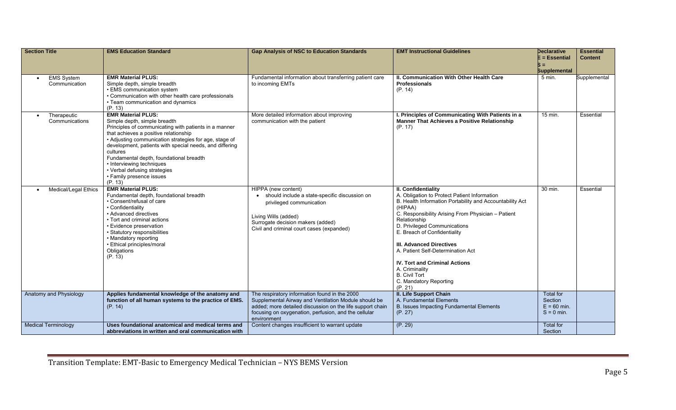| <b>Section Title</b>                       | <b>EMS Education Standard</b>                                                                                                                                                                                                                                                                                                                                                                                                               | <b>Gap Analysis of NSC to Education Standards</b>                                                                                                                                                                                         | <b>EMT Instructional Guidelines</b>                                                                                                                                                                                                                                                                                                                                                                                                                                             | <b>Declarative</b><br>$E = E$ ssential                | <b>Essential</b><br><b>Content</b> |
|--------------------------------------------|---------------------------------------------------------------------------------------------------------------------------------------------------------------------------------------------------------------------------------------------------------------------------------------------------------------------------------------------------------------------------------------------------------------------------------------------|-------------------------------------------------------------------------------------------------------------------------------------------------------------------------------------------------------------------------------------------|---------------------------------------------------------------------------------------------------------------------------------------------------------------------------------------------------------------------------------------------------------------------------------------------------------------------------------------------------------------------------------------------------------------------------------------------------------------------------------|-------------------------------------------------------|------------------------------------|
|                                            |                                                                                                                                                                                                                                                                                                                                                                                                                                             |                                                                                                                                                                                                                                           |                                                                                                                                                                                                                                                                                                                                                                                                                                                                                 | $S =$<br><b>Supplemental</b>                          |                                    |
| <b>EMS System</b><br>Communication         | <b>EMR Material PLUS:</b><br>Simple depth, simple breadth<br>• EMS communication system<br>• Communication with other health care professionals<br>• Team communication and dynamics<br>(P. 13)                                                                                                                                                                                                                                             | Fundamental information about transferring patient care<br>to incoming EMTs                                                                                                                                                               | II. Communication With Other Health Care<br><b>Professionals</b><br>(P. 14)                                                                                                                                                                                                                                                                                                                                                                                                     | 5 min.                                                | Supplemental                       |
| Therapeutic<br>$\bullet$<br>Communications | <b>EMR Material PLUS:</b><br>Simple depth, simple breadth<br>Principles of communicating with patients in a manner<br>that achieves a positive relationship<br>• Adjusting communication strategies for age, stage of<br>development, patients with special needs, and differing<br>cultures<br>Fundamental depth, foundational breadth<br>• Interviewing techniques<br>• Verbal defusing strategies<br>• Family presence issues<br>(P. 13) | More detailed information about improving<br>communication with the patient                                                                                                                                                               | I. Principles of Communicating With Patients in a<br><b>Manner That Achieves a Positive Relationship</b><br>(P. 17)                                                                                                                                                                                                                                                                                                                                                             | 15 min.                                               | Essential                          |
| Medical/Legal Ethics                       | <b>EMR Material PLUS:</b><br>Fundamental depth, foundational breadth<br>• Consent/refusal of care<br>• Confidentiality<br>• Advanced directives<br>• Tort and criminal actions<br>• Evidence preservation<br>• Statutory responsibilities<br>• Mandatory reporting<br>· Ethical principles/moral<br>Obligations<br>(P. 13)                                                                                                                  | HIPPA (new content)<br>should include a state-specific discussion on<br>privileged communication<br>Living Wills (added)<br>Surrogate decision makers (added)<br>Civil and criminal court cases (expanded)                                | II. Confidentiality<br>A. Obligation to Protect Patient Information<br>B. Health Information Portability and Accountability Act<br>(HIPAA)<br>C. Responsibility Arising From Physician - Patient<br>Relationship<br>D. Privileged Communications<br>E. Breach of Confidentiality<br><b>III. Advanced Directives</b><br>A. Patient Self-Determination Act<br><b>IV. Tort and Criminal Actions</b><br>A. Criminality<br><b>B.</b> Civil Tort<br>C. Mandatory Reporting<br>(P. 21) | 30 min.                                               | Essential                          |
| Anatomy and Physiology                     | Applies fundamental knowledge of the anatomy and<br>function of all human systems to the practice of EMS.<br>(P. 14)                                                                                                                                                                                                                                                                                                                        | The respiratory information found in the 2000<br>Supplemental Airway and Ventilation Module should be<br>added; more detailed discussion on the life support chain<br>focusing on oxygenation, perfusion, and the cellular<br>environment | II. Life Support Chain<br>A. Fundamental Elements<br>B. Issues Impacting Fundamental Elements<br>(P. 27)                                                                                                                                                                                                                                                                                                                                                                        | Total for<br>Section<br>$E = 60$ min.<br>$S = 0$ min. |                                    |
| <b>Medical Terminology</b>                 | Uses foundational anatomical and medical terms and<br>abbreviations in written and oral communication with                                                                                                                                                                                                                                                                                                                                  | Content changes insufficient to warrant update                                                                                                                                                                                            | (P. 29)                                                                                                                                                                                                                                                                                                                                                                                                                                                                         | <b>Total for</b><br>Section                           |                                    |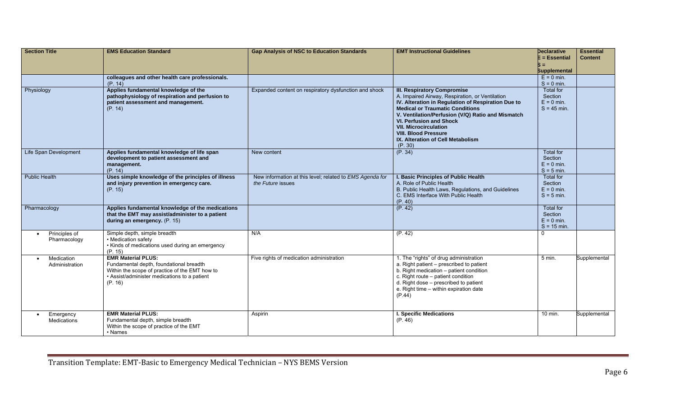| <b>Section Title</b>                       | <b>EMS Education Standard</b>                                                                                                                                                     | <b>Gap Analysis of NSC to Education Standards</b>                             | <b>EMT Instructional Guidelines</b>                                                                                                                                                                                                                                                                                                                                                         | <b>Declarative</b><br>$E = E$ ssential                | <b>Essential</b><br><b>Content</b> |
|--------------------------------------------|-----------------------------------------------------------------------------------------------------------------------------------------------------------------------------------|-------------------------------------------------------------------------------|---------------------------------------------------------------------------------------------------------------------------------------------------------------------------------------------------------------------------------------------------------------------------------------------------------------------------------------------------------------------------------------------|-------------------------------------------------------|------------------------------------|
|                                            |                                                                                                                                                                                   |                                                                               |                                                                                                                                                                                                                                                                                                                                                                                             | $S =$<br><b>Supplemental</b>                          |                                    |
|                                            | colleagues and other health care professionals.<br>(P. 14)                                                                                                                        |                                                                               |                                                                                                                                                                                                                                                                                                                                                                                             | $E = 0$ min.<br>$S = 0$ min.                          |                                    |
| Physiology                                 | Applies fundamental knowledge of the<br>pathophysiology of respiration and perfusion to<br>patient assessment and management.<br>(P. 14)                                          | Expanded content on respiratory dysfunction and shock                         | <b>III. Respiratory Compromise</b><br>A. Impaired Airway, Respiration, or Ventilation<br>IV. Alteration in Regulation of Respiration Due to<br><b>Medical or Traumatic Conditions</b><br>V. Ventilation/Perfusion (V/Q) Ratio and Mismatch<br><b>VI. Perfusion and Shock</b><br><b>VII. Microcirculation</b><br><b>VIII. Blood Pressure</b><br>IX. Alteration of Cell Metabolism<br>(P. 30) | Total for<br>Section<br>$E = 0$ min.<br>$S = 45$ min. |                                    |
| Life Span Development                      | Applies fundamental knowledge of life span<br>development to patient assessment and<br>management.<br>(P. 14)                                                                     | New content                                                                   | (P. 34)                                                                                                                                                                                                                                                                                                                                                                                     | Total for<br>Section<br>$E = 0$ min.<br>$S = 5$ min.  |                                    |
| <b>Public Health</b>                       | Uses simple knowledge of the principles of illness<br>and injury prevention in emergency care.<br>(P. 15)                                                                         | New information at this level; related to EMS Agenda for<br>the Future issues | I. Basic Principles of Public Health<br>A. Role of Public Health<br>B. Public Health Laws, Regulations, and Guidelines<br>C. EMS Interface With Public Health<br>(P. 40)                                                                                                                                                                                                                    | Total for<br>Section<br>$E = 0$ min.<br>$S = 5$ min.  |                                    |
| Pharmacology                               | Applies fundamental knowledge of the medications<br>that the EMT may assist/administer to a patient<br>during an emergency. (P. 15)                                               |                                                                               | (P. 42)                                                                                                                                                                                                                                                                                                                                                                                     | Total for<br>Section<br>$E = 0$ min.<br>$S = 15$ min. |                                    |
| Principles of<br>$\bullet$<br>Pharmacology | Simple depth, simple breadth<br>• Medication safety<br>• Kinds of medications used during an emergency<br>(P. 15)                                                                 | N/A                                                                           | (P. 42)                                                                                                                                                                                                                                                                                                                                                                                     | $\mathbf 0$                                           |                                    |
| Medication<br>$\bullet$<br>Administration  | <b>EMR Material PLUS:</b><br>Fundamental depth, foundational breadth<br>Within the scope of practice of the EMT how to<br>• Assist/administer medications to a patient<br>(P. 16) | Five rights of medication administration                                      | 1. The "rights" of drug administration<br>a. Right patient - prescribed to patient<br>b. Right medication - patient condition<br>c. Right route - patient condition<br>d. Right dose - prescribed to patient<br>e. Right time - within expiration date<br>(P.44)                                                                                                                            | $5$ min.                                              | Supplemental                       |
| Emergency<br>$\bullet$<br>Medications      | <b>EMR Material PLUS:</b><br>Fundamental depth, simple breadth<br>Within the scope of practice of the EMT<br>• Names                                                              | Aspirin                                                                       | <b>I. Specific Medications</b><br>(P. 46)                                                                                                                                                                                                                                                                                                                                                   | 10 min.                                               | Supplemental                       |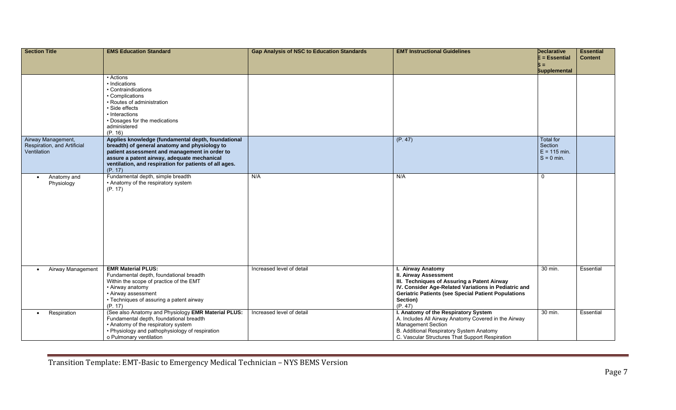| <b>Section Title</b>                       | <b>EMS Education Standard</b>                                                                  | <b>Gap Analysis of NSC to Education Standards</b> | <b>EMT Instructional Guidelines</b>                                                                                | <b>Declarative</b><br>E = Essential | <b>Essential</b><br><b>Content</b> |
|--------------------------------------------|------------------------------------------------------------------------------------------------|---------------------------------------------------|--------------------------------------------------------------------------------------------------------------------|-------------------------------------|------------------------------------|
|                                            |                                                                                                |                                                   |                                                                                                                    | $S =$                               |                                    |
|                                            | • Actions                                                                                      |                                                   |                                                                                                                    | <b>Supplemental</b>                 |                                    |
|                                            | • Indications                                                                                  |                                                   |                                                                                                                    |                                     |                                    |
|                                            | • Contraindications<br>• Complications                                                         |                                                   |                                                                                                                    |                                     |                                    |
|                                            | • Routes of administration                                                                     |                                                   |                                                                                                                    |                                     |                                    |
|                                            | · Side effects<br>• Interactions                                                               |                                                   |                                                                                                                    |                                     |                                    |
|                                            | • Dosages for the medications                                                                  |                                                   |                                                                                                                    |                                     |                                    |
|                                            | administered<br>(P. 16)                                                                        |                                                   |                                                                                                                    |                                     |                                    |
| Airway Management,                         | Applies knowledge (fundamental depth, foundational                                             |                                                   | (P. 47)                                                                                                            | <b>Total for</b>                    |                                    |
| Respiration, and Artificial<br>Ventilation | breadth) of general anatomy and physiology to<br>patient assessment and management in order to |                                                   |                                                                                                                    | Section<br>$E = 115$ min.           |                                    |
|                                            | assure a patent airway, adequate mechanical                                                    |                                                   |                                                                                                                    | $S = 0$ min.                        |                                    |
|                                            | ventilation, and respiration for patients of all ages.<br>(P. 17)                              |                                                   |                                                                                                                    |                                     |                                    |
| Anatomy and<br>$\bullet$                   | Fundamental depth, simple breadth                                                              | N/A                                               | N/A                                                                                                                | $\Omega$                            |                                    |
| Physiology                                 | • Anatomy of the respiratory system<br>(P. 17)                                                 |                                                   |                                                                                                                    |                                     |                                    |
|                                            |                                                                                                |                                                   |                                                                                                                    |                                     |                                    |
|                                            |                                                                                                |                                                   |                                                                                                                    |                                     |                                    |
|                                            |                                                                                                |                                                   |                                                                                                                    |                                     |                                    |
|                                            |                                                                                                |                                                   |                                                                                                                    |                                     |                                    |
|                                            |                                                                                                |                                                   |                                                                                                                    |                                     |                                    |
|                                            |                                                                                                |                                                   |                                                                                                                    |                                     |                                    |
|                                            |                                                                                                |                                                   |                                                                                                                    |                                     |                                    |
|                                            |                                                                                                |                                                   |                                                                                                                    |                                     |                                    |
| Airway Management<br>$\bullet$             | <b>EMR Material PLUS:</b><br>Fundamental depth, foundational breadth                           | Increased level of detail                         | I. Airway Anatomy<br><b>II. Airway Assessment</b>                                                                  | $\overline{30}$ min.                | Essential                          |
|                                            | Within the scope of practice of the EMT                                                        |                                                   | III. Techniques of Assuring a Patent Airway                                                                        |                                     |                                    |
|                                            | • Airway anatomy<br>• Airway assessment                                                        |                                                   | IV. Consider Age-Related Variations in Pediatric and<br><b>Geriatric Patients (see Special Patient Populations</b> |                                     |                                    |
|                                            | • Techniques of assuring a patent airway                                                       |                                                   | Section)                                                                                                           |                                     |                                    |
| Respiration<br>$\bullet$                   | (P. 17)<br>(See also Anatomy and Physiology EMR Material PLUS:                                 | Increased level of detail                         | (P. 47)<br>I. Anatomy of the Respiratory System                                                                    | 30 min.                             | Essential                          |
|                                            | Fundamental depth, foundational breadth                                                        |                                                   | A. Includes All Airway Anatomy Covered in the Airway                                                               |                                     |                                    |
|                                            | • Anatomy of the respiratory system<br>• Physiology and pathophysiology of respiration         |                                                   | <b>Management Section</b><br>B. Additional Respiratory System Anatomy                                              |                                     |                                    |
|                                            | o Pulmonary ventilation                                                                        |                                                   | C. Vascular Structures That Support Respiration                                                                    |                                     |                                    |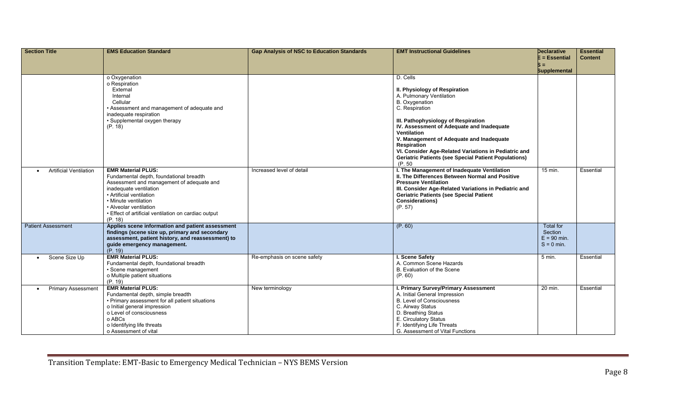| <b>Section Title</b>                       | <b>EMS Education Standard</b>                                                        | <b>Gap Analysis of NSC to Education Standards</b> | <b>EMT Instructional Guidelines</b>                                                            | <b>Declarative</b><br>$E = E$ ssential | <b>Essential</b><br><b>Content</b> |
|--------------------------------------------|--------------------------------------------------------------------------------------|---------------------------------------------------|------------------------------------------------------------------------------------------------|----------------------------------------|------------------------------------|
|                                            |                                                                                      |                                                   |                                                                                                | $S =$                                  |                                    |
|                                            |                                                                                      |                                                   |                                                                                                | <b>Supplemental</b>                    |                                    |
|                                            | o Oxygenation                                                                        |                                                   | D. Cells                                                                                       |                                        |                                    |
|                                            | o Respiration<br>External                                                            |                                                   | II. Physiology of Respiration                                                                  |                                        |                                    |
|                                            | Internal                                                                             |                                                   | A. Pulmonary Ventilation                                                                       |                                        |                                    |
|                                            | Cellular                                                                             |                                                   | B. Oxygenation                                                                                 |                                        |                                    |
|                                            | • Assessment and management of adequate and                                          |                                                   | C. Respiration                                                                                 |                                        |                                    |
|                                            | inadequate respiration<br>• Supplemental oxygen therapy                              |                                                   | III. Pathophysiology of Respiration                                                            |                                        |                                    |
|                                            | (P. 18)                                                                              |                                                   | IV. Assessment of Adequate and Inadequate                                                      |                                        |                                    |
|                                            |                                                                                      |                                                   | <b>Ventilation</b>                                                                             |                                        |                                    |
|                                            |                                                                                      |                                                   | V. Management of Adequate and Inadequate                                                       |                                        |                                    |
|                                            |                                                                                      |                                                   | Respiration<br>VI. Consider Age-Related Variations in Pediatric and                            |                                        |                                    |
|                                            |                                                                                      |                                                   | <b>Geriatric Patients (see Special Patient Populations)</b>                                    |                                        |                                    |
|                                            |                                                                                      |                                                   | (P. 50)                                                                                        |                                        |                                    |
| <b>Artificial Ventilation</b><br>$\bullet$ | <b>EMR Material PLUS:</b>                                                            | Increased level of detail                         | I. The Management of Inadequate Ventilation<br>II. The Differences Between Normal and Positive | 15 min.                                | Essential                          |
|                                            | Fundamental depth, foundational breadth<br>Assessment and management of adequate and |                                                   | <b>Pressure Ventilation</b>                                                                    |                                        |                                    |
|                                            | inadequate ventilation                                                               |                                                   | III. Consider Age-Related Variations in Pediatric and                                          |                                        |                                    |
|                                            | • Artificial ventilation                                                             |                                                   | <b>Geriatric Patients (see Special Patient</b>                                                 |                                        |                                    |
|                                            | • Minute ventilation                                                                 |                                                   | <b>Considerations)</b>                                                                         |                                        |                                    |
|                                            | • Alveolar ventilation<br>• Effect of artificial ventilation on cardiac output       |                                                   | (P. 57)                                                                                        |                                        |                                    |
|                                            | (P. 18)                                                                              |                                                   |                                                                                                |                                        |                                    |
| <b>Patient Assessment</b>                  | Applies scene information and patient assessment                                     |                                                   | (P. 60)                                                                                        | <b>Total for</b>                       |                                    |
|                                            | findings (scene size up, primary and secondary                                       |                                                   |                                                                                                | Section                                |                                    |
|                                            | assessment, patient history, and reassessment) to<br>guide emergency management.     |                                                   |                                                                                                | $E = 90$ min.<br>$S = 0$ min.          |                                    |
|                                            | (P. 19)                                                                              |                                                   |                                                                                                |                                        |                                    |
| Scene Size Up<br>$\bullet$                 | <b>EMR Material PLUS:</b>                                                            | Re-emphasis on scene safety                       | I. Scene Safety                                                                                | $5$ min.                               | Essential                          |
|                                            | Fundamental depth, foundational breadth                                              |                                                   | A. Common Scene Hazards                                                                        |                                        |                                    |
|                                            | · Scene management<br>o Multiple patient situations                                  |                                                   | B. Evaluation of the Scene<br>(P. 60)                                                          |                                        |                                    |
|                                            | (P. 19)                                                                              |                                                   |                                                                                                |                                        |                                    |
| <b>Primary Assessment</b>                  | <b>EMR Material PLUS:</b>                                                            | New terminology                                   | I. Primary Survey/Primary Assessment                                                           | 20 min.                                | Essential                          |
|                                            | Fundamental depth, simple breadth                                                    |                                                   | A. Initial General Impression<br><b>B. Level of Consciousness</b>                              |                                        |                                    |
|                                            | • Primary assessment for all patient situations<br>o Initial general impression      |                                                   | C. Airway Status                                                                               |                                        |                                    |
|                                            | o Level of consciousness                                                             |                                                   | D. Breathing Status                                                                            |                                        |                                    |
|                                            | o ABCs                                                                               |                                                   | E. Circulatory Status                                                                          |                                        |                                    |
|                                            | o Identifying life threats                                                           |                                                   | F. Identifying Life Threats                                                                    |                                        |                                    |
|                                            | o Assessment of vital                                                                |                                                   | G. Assessment of Vital Functions                                                               |                                        |                                    |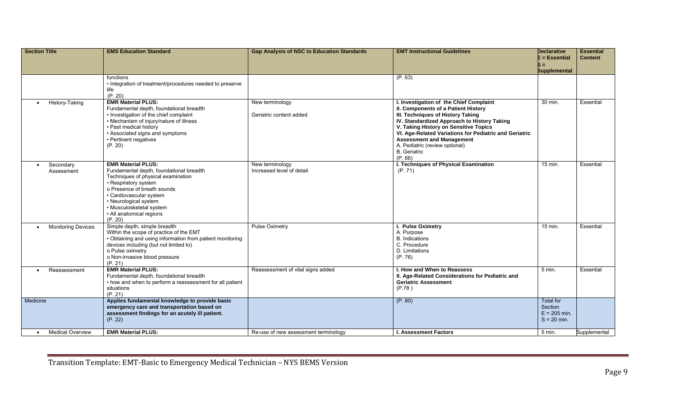| <b>Section Title</b>                   | <b>EMS Education Standard</b>                                                                                                                                                                                                                                                            | <b>Gap Analysis of NSC to Education Standards</b> | <b>EMT Instructional Guidelines</b>                                                                                                                                                                                                                                                                                                                                           | <b>Declarative</b><br>$E = E$ ssential<br>$S =$<br><b>Supplemental</b> | <b>Essential</b><br><b>Content</b> |
|----------------------------------------|------------------------------------------------------------------------------------------------------------------------------------------------------------------------------------------------------------------------------------------------------------------------------------------|---------------------------------------------------|-------------------------------------------------------------------------------------------------------------------------------------------------------------------------------------------------------------------------------------------------------------------------------------------------------------------------------------------------------------------------------|------------------------------------------------------------------------|------------------------------------|
|                                        | functions<br>• Integration of treatment/procedures needed to preserve<br>life<br>(P. 20)                                                                                                                                                                                                 |                                                   | (P. 63)                                                                                                                                                                                                                                                                                                                                                                       |                                                                        |                                    |
| History-Taking<br>$\bullet$            | <b>EMR Material PLUS:</b><br>Fundamental depth, foundational breadth<br>• Investigation of the chief complaint<br>• Mechanism of injury/nature of illness<br>• Past medical history<br>• Associated signs and symptoms<br>• Pertinent negatives<br>(P. 20)                               | New terminology<br>Geriatric content added        | I. Investigation of the Chief Complaint<br>II. Components of a Patient History<br>III. Techniques of History Taking<br>IV. Standardized Approach to History Taking<br>V. Taking History on Sensitive Topics<br>VI. Age-Related Variations for Pediatric and Geriatric<br><b>Assessment and Management</b><br>A. Pediatric (review optional)<br><b>B.</b> Geriatric<br>(P. 66) | 30 min.                                                                | Essential                          |
| Secondary<br>$\bullet$<br>Assessment   | <b>EMR Material PLUS:</b><br>Fundamental depth, foundational breadth<br>Techniques of physical examination<br>• Respiratory system<br>o Presence of breath sounds<br>· Cardiovascular system<br>• Neurological system<br>• Musculoskeletal system<br>• All anatomical regions<br>(P. 20) | New terminology<br>Increased level of detail      | I. Techniques of Physical Examination<br>(P. 71)                                                                                                                                                                                                                                                                                                                              | $15$ min.                                                              | Essential                          |
| <b>Monitoring Devices</b><br>$\bullet$ | Simple depth, simple breadth<br>Within the scope of practice of the EMT<br>• Obtaining and using information from patient monitoring<br>devices including (but not limited to)<br>o Pulse oximetry<br>o Non-invasive blood pressure<br>(P. 21)                                           | <b>Pulse Oximetry</b>                             | I. Pulse Oximetry<br>A. Purpose<br><b>B.</b> Indications<br>C. Procedure<br>D. Limitations<br>(P. 76)                                                                                                                                                                                                                                                                         | 15 min.                                                                | Essential                          |
| Reassessment<br>$\bullet$              | <b>EMR Material PLUS:</b><br>Fundamental depth, foundational breadth<br>• how and when to perform a reassessment for all patient<br>situations<br>(P. 21)                                                                                                                                | Reassessment of vital signs added                 | I. How and When to Reassess<br>II. Age-Related Considerations for Pediatric and<br><b>Geriatric Assessment</b><br>(P.78)                                                                                                                                                                                                                                                      | $5$ min.                                                               | Essential                          |
| Medicine                               | Applies fundamental knowledge to provide basic<br>emergency care and transportation based on<br>assessment findings for an acutely ill patient.<br>(P. 22)                                                                                                                               |                                                   | (P. 80)                                                                                                                                                                                                                                                                                                                                                                       | <b>Total</b> for<br>Section<br>$E = 205$ min.<br>$S = 20$ min.         |                                    |
| <b>Medical Overview</b><br>$\bullet$   | <b>EMR Material PLUS:</b>                                                                                                                                                                                                                                                                | Re-use of new assessment terminology              | <b>I. Assessment Factors</b>                                                                                                                                                                                                                                                                                                                                                  | $5$ min.                                                               | Supplemental                       |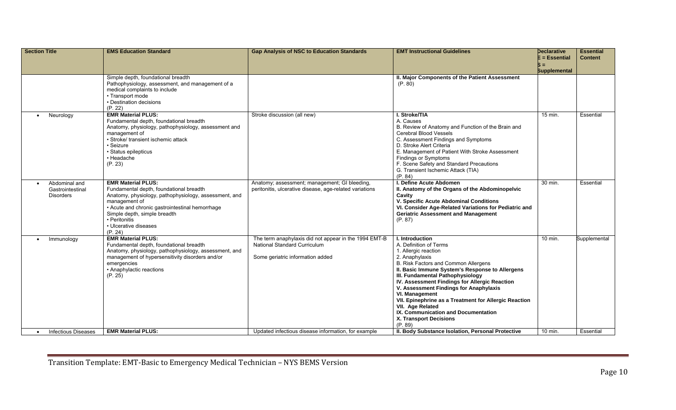| <b>Section Title</b>                                               | <b>EMS Education Standard</b>                                                                                                                                                                                                                                                          | <b>Gap Analysis of NSC to Education Standards</b>                                                                                | <b>EMT Instructional Guidelines</b>                                                                                                                                                                                                                                                                                                                                                                                                                                                      | <b>Declarative</b><br>E = Essential<br>$S =$<br><b>Supplemental</b> | <b>Essential</b><br><b>Content</b> |
|--------------------------------------------------------------------|----------------------------------------------------------------------------------------------------------------------------------------------------------------------------------------------------------------------------------------------------------------------------------------|----------------------------------------------------------------------------------------------------------------------------------|------------------------------------------------------------------------------------------------------------------------------------------------------------------------------------------------------------------------------------------------------------------------------------------------------------------------------------------------------------------------------------------------------------------------------------------------------------------------------------------|---------------------------------------------------------------------|------------------------------------|
|                                                                    | Simple depth, foundational breadth<br>Pathophysiology, assessment, and management of a<br>medical complaints to include<br>• Transport mode<br>• Destination decisions<br>(P. 22)                                                                                                      |                                                                                                                                  | II. Major Components of the Patient Assessment<br>(P. 80)                                                                                                                                                                                                                                                                                                                                                                                                                                |                                                                     |                                    |
| Neurology<br>$\bullet$                                             | <b>EMR Material PLUS:</b><br>Fundamental depth, foundational breadth<br>Anatomy, physiology, pathophysiology, assessment and<br>management of<br>· Stroke/ transient ischemic attack<br>· Seizure<br>· Status epilepticus<br>• Headache<br>(P. 23)                                     | Stroke discussion (all new)                                                                                                      | I. Stroke/TIA<br>A. Causes<br>B. Review of Anatomy and Function of the Brain and<br><b>Cerebral Blood Vessels</b><br>C. Assessment Findings and Symptoms<br>D. Stroke Alert Criteria<br>E. Management of Patient With Stroke Assessment<br><b>Findings or Symptoms</b><br>F. Scene Safety and Standard Precautions<br>G. Transient Ischemic Attack (TIA)<br>(P. 84)                                                                                                                      | 15 min.                                                             | Essential                          |
| Abdominal and<br>$\bullet$<br>Gastrointestinal<br><b>Disorders</b> | <b>EMR Material PLUS:</b><br>Fundamental depth, foundational breadth<br>Anatomy, physiology, pathophysiology, assessment, and<br>management of<br>• Acute and chronic gastrointestinal hemorrhage<br>Simple depth, simple breadth<br>• Peritonitis<br>• Ulcerative diseases<br>(P. 24) | Anatomy; assessment; management; GI bleeding,<br>peritonitis, ulcerative disease, age-related variations                         | I. Define Acute Abdomen<br>II. Anatomy of the Organs of the Abdominopelvic<br>Cavity<br>V. Specific Acute Abdominal Conditions<br>VI. Consider Age-Related Variations for Pediatric and<br><b>Geriatric Assessment and Management</b><br>(P. 87)                                                                                                                                                                                                                                         | 30 min.                                                             | Essential                          |
| Immunology                                                         | <b>EMR Material PLUS:</b><br>Fundamental depth, foundational breadth<br>Anatomy, physiology, pathophysiology, assessment, and<br>management of hypersensitivity disorders and/or<br>emergencies<br>• Anaphylactic reactions<br>(P. 25)                                                 | The term anaphylaxis did not appear in the 1994 EMT-B<br><b>National Standard Curriculum</b><br>Some geriatric information added | I. Introduction<br>A. Definition of Terms<br>1. Allergic reaction<br>2. Anaphylaxis<br>B. Risk Factors and Common Allergens<br>II. Basic Immune System's Response to Allergens<br>III. Fundamental Pathophysiology<br>IV. Assessment Findings for Allergic Reaction<br>V. Assessment Findings for Anaphylaxis<br>VI. Management<br>VII. Epinephrine as a Treatment for Allergic Reaction<br>VII. Age Related<br>IX. Communication and Documentation<br>X. Transport Decisions<br>(P. 89) | 10 min.                                                             | Supplemental                       |
| <b>Infectious Diseases</b>                                         | <b>EMR Material PLUS:</b>                                                                                                                                                                                                                                                              | Updated infectious disease information, for example                                                                              | II. Body Substance Isolation, Personal Protective                                                                                                                                                                                                                                                                                                                                                                                                                                        | 10 min.                                                             | Essential                          |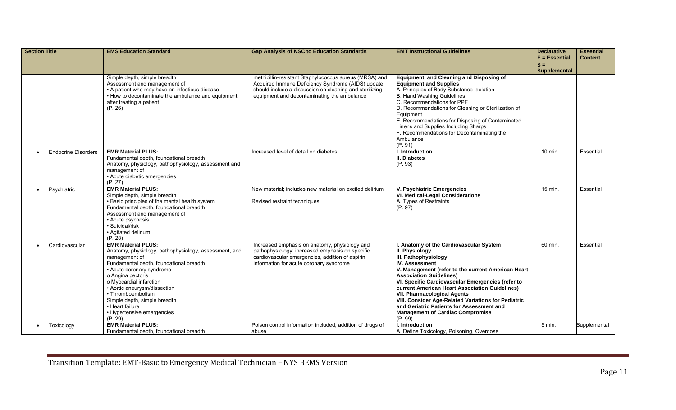| <b>Section Title</b>       | <b>EMS Education Standard</b>                                                                                                                                                                                                                                                                                                                                                | <b>Gap Analysis of NSC to Education Standards</b>                                                                                                                                                                      | <b>EMT Instructional Guidelines</b>                                                                                                                                                                                                                                                                                                                                                                                                                                                                       | <b>Declarative</b><br>$E = E$ ssential | <b>Essential</b><br><b>Content</b> |
|----------------------------|------------------------------------------------------------------------------------------------------------------------------------------------------------------------------------------------------------------------------------------------------------------------------------------------------------------------------------------------------------------------------|------------------------------------------------------------------------------------------------------------------------------------------------------------------------------------------------------------------------|-----------------------------------------------------------------------------------------------------------------------------------------------------------------------------------------------------------------------------------------------------------------------------------------------------------------------------------------------------------------------------------------------------------------------------------------------------------------------------------------------------------|----------------------------------------|------------------------------------|
|                            |                                                                                                                                                                                                                                                                                                                                                                              |                                                                                                                                                                                                                        |                                                                                                                                                                                                                                                                                                                                                                                                                                                                                                           | $S =$<br><b>Supplemental</b>           |                                    |
|                            | Simple depth, simple breadth<br>Assessment and management of<br>• A patient who may have an infectious disease<br>• How to decontaminate the ambulance and equipment<br>after treating a patient<br>(P. 26)                                                                                                                                                                  | methicillin-resistant Staphylococcus aureus (MRSA) and<br>Acquired Immune Deficiency Syndrome (AIDS) update;<br>should include a discussion on cleaning and sterilizing<br>equipment and decontaminating the ambulance | Equipment, and Cleaning and Disposing of<br><b>Equipment and Supplies</b><br>A. Principles of Body Substance Isolation<br><b>B. Hand Washing Guidelines</b><br>C. Recommendations for PPE<br>D. Recommendations for Cleaning or Sterilization of<br>Equipment<br>E. Recommendations for Disposing of Contaminated<br>Linens and Supplies Including Sharps<br>F. Recommendations for Decontaminating the<br>Ambulance<br>(P. 91)                                                                           |                                        |                                    |
| <b>Endocrine Disorders</b> | <b>EMR Material PLUS:</b><br>Fundamental depth, foundational breadth<br>Anatomy, physiology, pathophysiology, assessment and<br>management of<br>• Acute diabetic emergencies<br>(P. 27)                                                                                                                                                                                     | Increased level of detail on diabetes                                                                                                                                                                                  | I. Introduction<br><b>II. Diabetes</b><br>(P. 93)                                                                                                                                                                                                                                                                                                                                                                                                                                                         | 10 min.                                | Essential                          |
| Psychiatric                | <b>EMR Material PLUS:</b><br>Simple depth, simple breadth<br>• Basic principles of the mental health system<br>Fundamental depth, foundational breadth<br>Assessment and management of<br>• Acute psychosis<br>· Suicidal/risk<br>• Agitated delirium<br>(P. 28)                                                                                                             | New material: includes new material on excited delirium<br>Revised restraint techniques                                                                                                                                | V. Psychiatric Emergencies<br>VI. Medical-Legal Considerations<br>A. Types of Restraints<br>(P. 97)                                                                                                                                                                                                                                                                                                                                                                                                       | 15 min.                                | Essential                          |
| Cardiovascular             | <b>EMR Material PLUS:</b><br>Anatomy, physiology, pathophysiology, assessment, and<br>management of<br>Fundamental depth, foundational breadth<br>• Acute coronary syndrome<br>o Angina pectoris<br>o Myocardial infarction<br>• Aortic aneurysm/dissection<br>• Thromboembolism<br>Simple depth, simple breadth<br>• Heart failure<br>• Hypertensive emergencies<br>(P. 29) | Increased emphasis on anatomy, physiology and<br>pathophysiology; increased emphasis on specific<br>cardiovascular emergencies, addition of aspirin<br>information for acute coronary syndrome                         | I. Anatomy of the Cardiovascular System<br>II. Physiology<br>III. Pathophysiology<br><b>IV. Assessment</b><br>V. Management (refer to the current American Heart<br><b>Association Guidelines)</b><br>VI. Specific Cardiovascular Emergencies (refer to<br>current American Heart Association Guidelines)<br><b>VII. Pharmacological Agents</b><br>VIII. Consider Age-Related Variations for Pediatric<br>and Geriatric Patients for Assessment and<br><b>Management of Cardiac Compromise</b><br>(P. 99) | 60 min.                                | Essential                          |
| Toxicology                 | <b>EMR Material PLUS:</b><br>Fundamental depth, foundational breadth                                                                                                                                                                                                                                                                                                         | Poison control information included; addition of drugs of<br>abuse                                                                                                                                                     | I. Introduction<br>A. Define Toxicology, Poisoning, Overdose                                                                                                                                                                                                                                                                                                                                                                                                                                              | 5 min.                                 | Supplemental                       |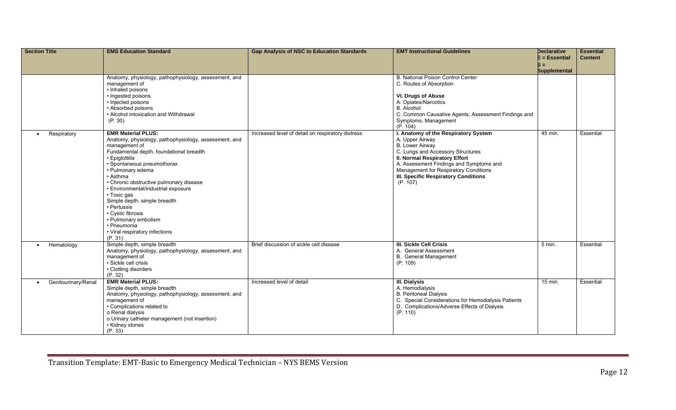| <b>Section Title</b>     | <b>EMS Education Standard</b>                                                                                                                                                                                                                                                                                                                                                                                                                                                            | <b>Gap Analysis of NSC to Education Standards</b> | <b>EMT Instructional Guidelines</b>                                                                                                                                                                                                                                                                           | <b>Declarative</b><br>$E = E$ ssential | <b>Essential</b><br><b>Content</b> |
|--------------------------|------------------------------------------------------------------------------------------------------------------------------------------------------------------------------------------------------------------------------------------------------------------------------------------------------------------------------------------------------------------------------------------------------------------------------------------------------------------------------------------|---------------------------------------------------|---------------------------------------------------------------------------------------------------------------------------------------------------------------------------------------------------------------------------------------------------------------------------------------------------------------|----------------------------------------|------------------------------------|
|                          |                                                                                                                                                                                                                                                                                                                                                                                                                                                                                          |                                                   |                                                                                                                                                                                                                                                                                                               | S =                                    |                                    |
|                          |                                                                                                                                                                                                                                                                                                                                                                                                                                                                                          |                                                   |                                                                                                                                                                                                                                                                                                               | <b>Supplemental</b>                    |                                    |
|                          | Anatomy, physiology, pathophysiology, assessment, and<br>management of<br>• Inhaled poisons<br>• Ingested poisons<br>• Injected poisons<br>• Absorbed poisons<br>• Alcohol intoxication and Withdrawal                                                                                                                                                                                                                                                                                   |                                                   | <b>B. National Poison Control Center</b><br>C. Routes of Absorption<br><b>VI. Drugs of Abuse</b><br>A. Opiates/Narcotics<br><b>B.</b> Alcohol<br>C. Common Causative Agents, Assessment Findings and                                                                                                          |                                        |                                    |
|                          | (P. 30)                                                                                                                                                                                                                                                                                                                                                                                                                                                                                  |                                                   | Symptoms, Management<br>(P. 104)                                                                                                                                                                                                                                                                              |                                        |                                    |
| Respiratory<br>$\bullet$ | <b>EMR Material PLUS:</b><br>Anatomy, physiology, pathophysiology, assessment, and<br>management of<br>Fundamental depth, foundational breadth<br>• Epiglottitis<br>• Spontaneous pneumothorax<br>• Pulmonary edema<br>• Asthma<br>• Chronic obstructive pulmonary disease<br>· Environmental/industrial exposure<br>• Toxic gas<br>Simple depth, simple breadth<br>• Pertussis<br>• Cystic fibrosis<br>• Pulmonary embolism<br>• Pneumonia<br>• Viral respiratory infections<br>(P. 31) | Increased level of detail on respiratory distress | I. Anatomy of the Respiratory System<br>A. Upper Airway<br><b>B.</b> Lower Airway<br>C. Lungs and Accessory Structures<br><b>II. Normal Respiratory Effort</b><br>A. Assessment Findings and Symptoms and<br>Management for Respiratory Conditions<br><b>III. Specific Respiratory Conditions</b><br>(P. 107) | $45$ min.                              | Essential                          |
| Hematology<br>$\bullet$  | Simple depth, simple breadth<br>Anatomy, physiology, pathophysiology, assessment, and<br>management of<br>· Sickle cell crisis<br>• Clotting disorders<br>(P. 32)                                                                                                                                                                                                                                                                                                                        | Brief discussion of sickle cell disease           | <b>III. Sickle Cell Crisis</b><br>A. General Assessment<br><b>B.</b> General Management<br>(P. 109)                                                                                                                                                                                                           | 5 min.                                 | Essential                          |
| Genitourinary/Renal      | <b>EMR Material PLUS:</b><br>Simple depth, simple breadth<br>Anatomy, physiology, pathophysiology, assessment, and<br>management of<br>• Complications related to<br>o Renal dialysis<br>o Urinary catheter management (not insertion)<br>• Kidney stones<br>(P. 33)                                                                                                                                                                                                                     | Increased level of detail                         | III. Dialysis<br>A. Hemodialysis<br><b>B. Peritoneal Dialysis</b><br>C. Special Considerations for Hemodialysis Patients<br>D. Complications/Adverse Effects of Dialysis<br>(P. 110)                                                                                                                          | 15 min.                                | Essential                          |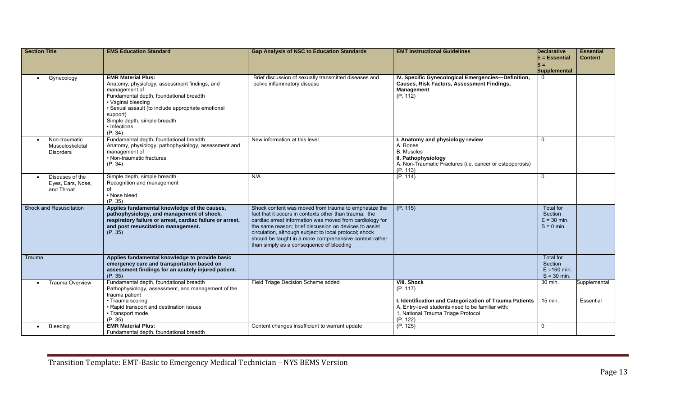| <b>Section Title</b>                               | <b>EMS Education Standard</b>                                                                                                                                                                                                                                                             | <b>Gap Analysis of NSC to Education Standards</b>                                                                                                                                                                                                                                                                                                                                                     | <b>EMT Instructional Guidelines</b>                                                                                                                                                              | <b>Declarative</b><br>$E = E$ ssential                         | <b>Essential</b><br><b>Content</b> |
|----------------------------------------------------|-------------------------------------------------------------------------------------------------------------------------------------------------------------------------------------------------------------------------------------------------------------------------------------------|-------------------------------------------------------------------------------------------------------------------------------------------------------------------------------------------------------------------------------------------------------------------------------------------------------------------------------------------------------------------------------------------------------|--------------------------------------------------------------------------------------------------------------------------------------------------------------------------------------------------|----------------------------------------------------------------|------------------------------------|
|                                                    |                                                                                                                                                                                                                                                                                           |                                                                                                                                                                                                                                                                                                                                                                                                       |                                                                                                                                                                                                  | $S =$                                                          |                                    |
|                                                    |                                                                                                                                                                                                                                                                                           |                                                                                                                                                                                                                                                                                                                                                                                                       |                                                                                                                                                                                                  | <b>Supplemental</b>                                            |                                    |
| Gynecology                                         | <b>EMR Material Plus:</b><br>Anatomy, physiology, assessment findings, and<br>management of<br>Fundamental depth, foundational breadth<br>• Vaginal bleeding<br>· Sexual assault (to include appropriate emotional<br>support)<br>Simple depth, simple breadth<br>• Infections<br>(P. 34) | Brief discussion of sexually transmitted diseases and<br>pelvic inflammatory disease                                                                                                                                                                                                                                                                                                                  | IV. Specific Gynecological Emergencies-Definition,<br><b>Causes, Risk Factors, Assessment Findings,</b><br>Management<br>(P. 112)                                                                |                                                                |                                    |
| Non-traumatic<br>Musculoskeletal<br>Disorders      | Fundamental depth, foundational breadth<br>Anatomy, physiology, pathophysiology, assessment and<br>management of<br>• Non-traumatic fractures<br>(P. 34)                                                                                                                                  | New information at this level                                                                                                                                                                                                                                                                                                                                                                         | I. Anatomy and physiology review<br>A. Bones<br><b>B.</b> Muscles<br>II. Pathophysiology<br>A. Non-Traumatic Fractures (i.e. cancer or osteoporosis)<br>(P. 113)                                 | $\mathbf 0$                                                    |                                    |
| Diseases of the<br>Eyes, Ears, Nose,<br>and Throat | Simple depth, simple breadth<br>Recognition and management<br>of<br>• Nose bleed<br>(P. 35)                                                                                                                                                                                               | N/A                                                                                                                                                                                                                                                                                                                                                                                                   | (P. 114)                                                                                                                                                                                         | $\mathbf{0}$                                                   |                                    |
| Shock and Resuscitation                            | Applies fundamental knowledge of the causes,<br>pathophysiology, and management of shock,<br>respiratory failure or arrest, cardiac failure or arrest,<br>and post resuscitation management.<br>(P. 35)                                                                                   | Shock content was moved from trauma to emphasize the<br>fact that it occurs in contexts other than trauma; the<br>cardiac arrest information was moved from cardiology for<br>the same reason; brief discussion on devices to assist<br>circulation, although subject to local protocol; shock<br>should be taught in a more comprehensive context rather<br>than simply as a consequence of bleeding | (P. 115)                                                                                                                                                                                         | <b>Total for</b><br>Section<br>$E = 30$ min.<br>$S = 0$ min.   |                                    |
| Trauma                                             | Applies fundamental knowledge to provide basic<br>emergency care and transportation based on<br>assessment findings for an acutely injured patient.<br>(P. 35)                                                                                                                            |                                                                                                                                                                                                                                                                                                                                                                                                       |                                                                                                                                                                                                  | <b>Total for</b><br>Section<br>$E = 160$ min.<br>$S = 30$ min. |                                    |
| <b>Trauma Overview</b>                             | Fundamental depth, foundational breadth<br>Pathophysiology, assessment, and management of the<br>trauma patient<br>• Trauma scoring<br>• Rapid transport and destination issues<br>• Transport mode<br>(P. 35)                                                                            | Field Triage Decision Scheme added                                                                                                                                                                                                                                                                                                                                                                    | <b>VIII. Shock</b><br>(P. 117)<br>I. Identification and Categorization of Trauma Patients<br>A. Entry-level students need to be familiar with:<br>1. National Trauma Triage Protocol<br>(P. 122) | 30 min.<br>15 min.                                             | Supplemental<br>Essential          |
| Bleeding                                           | <b>EMR Material Plus:</b><br>Fundamental depth, foundational breadth                                                                                                                                                                                                                      | Content changes insufficient to warrant update                                                                                                                                                                                                                                                                                                                                                        | (P. 125)                                                                                                                                                                                         | $\mathbf 0$                                                    |                                    |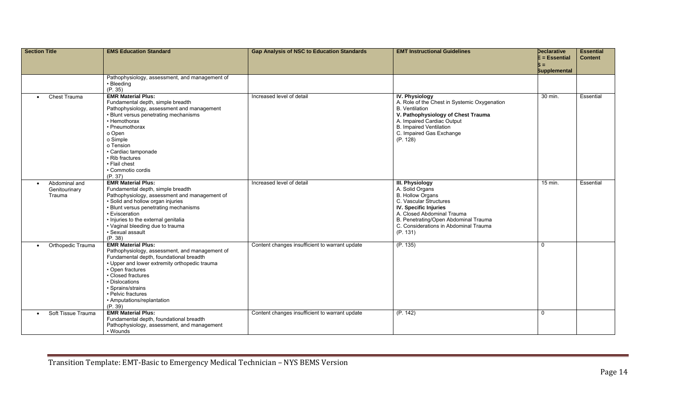| <b>Section Title</b>                                  | <b>EMS Education Standard</b>                                                                                                                                                                                                                                                                                              | <b>Gap Analysis of NSC to Education Standards</b> | <b>EMT Instructional Guidelines</b>                                                                                                                                                                                                                | <b>Declarative</b><br>$E = E$ ssential | <b>Essential</b><br><b>Content</b> |
|-------------------------------------------------------|----------------------------------------------------------------------------------------------------------------------------------------------------------------------------------------------------------------------------------------------------------------------------------------------------------------------------|---------------------------------------------------|----------------------------------------------------------------------------------------------------------------------------------------------------------------------------------------------------------------------------------------------------|----------------------------------------|------------------------------------|
|                                                       |                                                                                                                                                                                                                                                                                                                            |                                                   |                                                                                                                                                                                                                                                    | $S =$<br><b>Supplemental</b>           |                                    |
|                                                       | Pathophysiology, assessment, and management of<br>• Bleeding<br>(P. 35)                                                                                                                                                                                                                                                    |                                                   |                                                                                                                                                                                                                                                    |                                        |                                    |
| Chest Trauma<br>$\bullet$                             | <b>EMR Material Plus:</b><br>Fundamental depth, simple breadth<br>Pathophysiology, assessment and management<br>• Blunt versus penetrating mechanisms<br>• Hemothorax<br>• Pneumothorax<br>o Open<br>o Simple<br>o Tension<br>· Cardiac tamponade<br>• Rib fractures<br>• Flail chest<br>• Commotio cordis<br>(P. 37)      | Increased level of detail                         | <b>IV. Physiology</b><br>A. Role of the Chest in Systemic Oxygenation<br><b>B.</b> Ventilation<br>V. Pathophysiology of Chest Trauma<br>A. Impaired Cardiac Output<br><b>B. Impaired Ventilation</b><br>C. Impaired Gas Exchange<br>(P. 128)       | 30 min.                                | Essential                          |
| Abdominal and<br>$\bullet$<br>Genitourinary<br>Trauma | <b>EMR Material Plus:</b><br>Fundamental depth, simple breadth<br>Pathophysiology, assessment and management of<br>· Solid and hollow organ injuries<br>• Blunt versus penetrating mechanisms<br>• Evisceration<br>· Injuries to the external genitalia<br>• Vaginal bleeding due to trauma<br>· Sexual assault<br>(P. 38) | Increased level of detail                         | <b>III. Physiology</b><br>A. Solid Organs<br><b>B. Hollow Organs</b><br>C. Vascular Structures<br>IV. Specific Injuries<br>A. Closed Abdominal Trauma<br>B. Penetrating/Open Abdominal Trauma<br>C. Considerations in Abdominal Trauma<br>(P. 131) | $15$ min.                              | Essential                          |
| Orthopedic Trauma<br>$\bullet$                        | <b>EMR Material Plus:</b><br>Pathophysiology, assessment, and management of<br>Fundamental depth, foundational breadth<br>• Upper and lower extremity orthopedic trauma<br>• Open fractures<br>• Closed fractures<br>• Dislocations<br>• Sprains/strains<br>• Pelvic fractures<br>• Amputations/replantation<br>(P. 39)    | Content changes insufficient to warrant update    | (P. 135)                                                                                                                                                                                                                                           | $\mathbf{0}$                           |                                    |
| Soft Tissue Trauma<br>$\bullet$                       | <b>EMR Material Plus:</b><br>Fundamental depth, foundational breadth<br>Pathophysiology, assessment, and management<br>• Wounds                                                                                                                                                                                            | Content changes insufficient to warrant update    | (P. 142)                                                                                                                                                                                                                                           | $\mathbf 0$                            |                                    |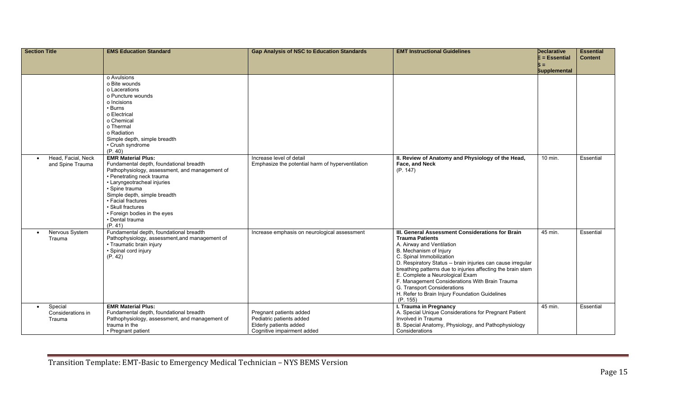| <b>Section Title</b>                                | <b>EMS Education Standard</b>                                                                                                                                                                                                                                                                                                                            | <b>Gap Analysis of NSC to Education Standards</b>                                                           | <b>EMT Instructional Guidelines</b>                                                                                                                                                                                                                                                                                                                                                                                                                                           | <b>Declarative</b>   | <b>Essential</b> |
|-----------------------------------------------------|----------------------------------------------------------------------------------------------------------------------------------------------------------------------------------------------------------------------------------------------------------------------------------------------------------------------------------------------------------|-------------------------------------------------------------------------------------------------------------|-------------------------------------------------------------------------------------------------------------------------------------------------------------------------------------------------------------------------------------------------------------------------------------------------------------------------------------------------------------------------------------------------------------------------------------------------------------------------------|----------------------|------------------|
|                                                     |                                                                                                                                                                                                                                                                                                                                                          |                                                                                                             |                                                                                                                                                                                                                                                                                                                                                                                                                                                                               | E = Essential<br>S = | <b>Content</b>   |
|                                                     |                                                                                                                                                                                                                                                                                                                                                          |                                                                                                             |                                                                                                                                                                                                                                                                                                                                                                                                                                                                               | <b>Supplemental</b>  |                  |
|                                                     | o Avulsions<br>o Bite wounds<br>o Lacerations<br>o Puncture wounds<br>o Incisions<br>• Burns<br>o Electrical<br>o Chemical<br>o Thermal<br>o Radiation<br>Simple depth, simple breadth                                                                                                                                                                   |                                                                                                             |                                                                                                                                                                                                                                                                                                                                                                                                                                                                               |                      |                  |
|                                                     | • Crush syndrome                                                                                                                                                                                                                                                                                                                                         |                                                                                                             |                                                                                                                                                                                                                                                                                                                                                                                                                                                                               |                      |                  |
| Head, Facial, Neck<br>and Spine Trauma              | (P. 40)<br><b>EMR Material Plus:</b><br>Fundamental depth, foundational breadth<br>Pathophysiology, assessment, and management of<br>• Penetrating neck trauma<br>• Laryngeotracheal injuries<br>· Spine trauma<br>Simple depth, simple breadth<br>· Facial fractures<br>· Skull fractures<br>• Foreign bodies in the eyes<br>• Dental trauma<br>(P. 41) | Increase level of detail<br>Emphasize the potential harm of hyperventilation                                | II. Review of Anatomy and Physiology of the Head,<br>Face, and Neck<br>(P. 147)                                                                                                                                                                                                                                                                                                                                                                                               | 10 min.              | Essential        |
| Nervous System<br>$\bullet$<br>Trauma               | Fundamental depth, foundational breadth<br>Pathophysiology, assessment, and management of<br>• Traumatic brain injury<br>· Spinal cord injury<br>(P. 42)                                                                                                                                                                                                 | Increase emphasis on neurological assessment                                                                | III. General Assessment Considerations for Brain<br><b>Trauma Patients</b><br>A. Airway and Ventilation<br>B. Mechanism of Injury<br>C. Spinal Immobilization<br>D. Respiratory Status -- brain injuries can cause irregular<br>breathing patterns due to injuries affecting the brain stem<br>E. Complete a Neurological Exam<br>F. Management Considerations With Brain Trauma<br>G. Transport Considerations<br>H. Refer to Brain Injury Foundation Guidelines<br>(P. 155) | 45 min.              | Essential        |
| Special<br>$\bullet$<br>Considerations in<br>Trauma | <b>EMR Material Plus:</b><br>Fundamental depth, foundational breadth<br>Pathophysiology, assessment, and management of<br>trauma in the<br>• Pregnant patient                                                                                                                                                                                            | Pregnant patients added<br>Pediatric patients added<br>Elderly patients added<br>Cognitive impairment added | I. Trauma in Pregnancy<br>A. Special Unique Considerations for Pregnant Patient<br>Involved in Trauma<br>B. Special Anatomy, Physiology, and Pathophysiology<br>Considerations                                                                                                                                                                                                                                                                                                | 45 min.              | Essential        |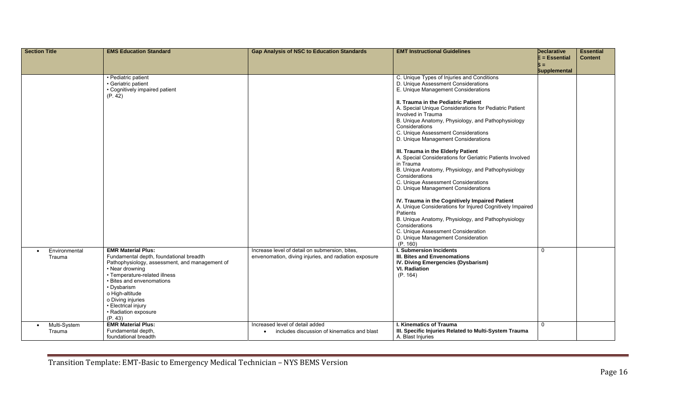| <b>Section Title</b>                | <b>EMS Education Standard</b>                                                                                                                                                                                                                                                                                            | <b>Gap Analysis of NSC to Education Standards</b>                                                       | <b>EMT Instructional Guidelines</b>                                                                                                                                                                                                                                                                                                                                                                                                                                                                                                                                                                                                                                                                                                                                                                                                                                                                                                                                    | <b>Declarative</b>        | <b>Essential</b> |
|-------------------------------------|--------------------------------------------------------------------------------------------------------------------------------------------------------------------------------------------------------------------------------------------------------------------------------------------------------------------------|---------------------------------------------------------------------------------------------------------|------------------------------------------------------------------------------------------------------------------------------------------------------------------------------------------------------------------------------------------------------------------------------------------------------------------------------------------------------------------------------------------------------------------------------------------------------------------------------------------------------------------------------------------------------------------------------------------------------------------------------------------------------------------------------------------------------------------------------------------------------------------------------------------------------------------------------------------------------------------------------------------------------------------------------------------------------------------------|---------------------------|------------------|
|                                     |                                                                                                                                                                                                                                                                                                                          |                                                                                                         |                                                                                                                                                                                                                                                                                                                                                                                                                                                                                                                                                                                                                                                                                                                                                                                                                                                                                                                                                                        | $E = E$ ssential<br>$s =$ | <b>Content</b>   |
|                                     |                                                                                                                                                                                                                                                                                                                          |                                                                                                         |                                                                                                                                                                                                                                                                                                                                                                                                                                                                                                                                                                                                                                                                                                                                                                                                                                                                                                                                                                        | <b>Supplemental</b>       |                  |
|                                     | • Pediatric patient<br>· Geriatric patient<br>• Cognitively impaired patient<br>(P. 42)                                                                                                                                                                                                                                  |                                                                                                         | C. Unique Types of Injuries and Conditions<br>D. Unique Assessment Considerations<br>E. Unique Management Considerations<br>II. Trauma in the Pediatric Patient<br>A. Special Unique Considerations for Pediatric Patient<br>Involved in Trauma<br>B. Unique Anatomy, Physiology, and Pathophysiology<br>Considerations<br>C. Unique Assessment Considerations<br>D. Unique Management Considerations<br>III. Trauma in the Elderly Patient<br>A. Special Considerations for Geriatric Patients Involved<br>in Trauma<br>B. Unique Anatomy, Physiology, and Pathophysiology<br>Considerations<br>C. Unique Assessment Considerations<br>D. Unique Management Considerations<br>IV. Trauma in the Cognitively Impaired Patient<br>A. Unique Considerations for Injured Cognitively Impaired<br>Patients<br>B. Unique Anatomy, Physiology, and Pathophysiology<br>Considerations<br>C. Unique Assessment Consideration<br>D. Unique Management Consideration<br>(P. 160) |                           |                  |
| Environmental<br>Trauma             | <b>EMR Material Plus:</b><br>Fundamental depth, foundational breadth<br>Pathophysiology, assessment, and management of<br>• Near drowning<br>• Temperature-related illness<br>• Bites and envenomations<br>• Dysbarism<br>o High-altitude<br>o Diving injuries<br>• Electrical injury<br>• Radiation exposure<br>(P. 43) | Increase level of detail on submersion, bites,<br>envenomation, diving injuries, and radiation exposure | <b>I. Submersion Incidents</b><br>III. Bites and Envenomations<br>IV. Diving Emergencies (Dysbarism)<br><b>VI.</b> Radiation<br>(P. 164)                                                                                                                                                                                                                                                                                                                                                                                                                                                                                                                                                                                                                                                                                                                                                                                                                               | $\Omega$                  |                  |
| Multi-System<br>$\bullet$<br>Trauma | <b>EMR Material Plus:</b><br>Fundamental depth,<br>foundational breadth                                                                                                                                                                                                                                                  | Increased level of detail added<br>includes discussion of kinematics and blast                          | <b>I. Kinematics of Trauma</b><br>III. Specific Injuries Related to Multi-System Trauma<br>A. Blast Injuries                                                                                                                                                                                                                                                                                                                                                                                                                                                                                                                                                                                                                                                                                                                                                                                                                                                           | $\Omega$                  |                  |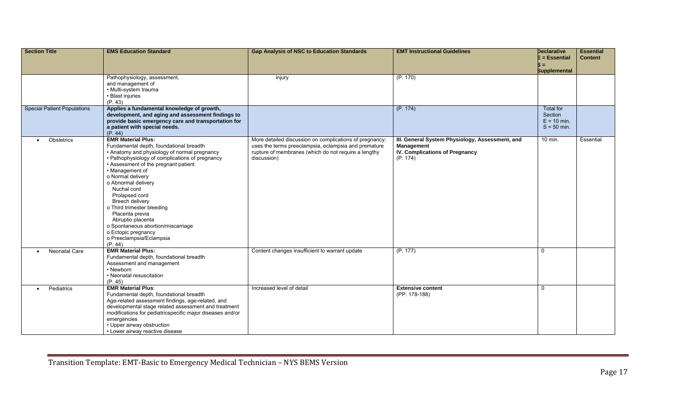| <b>Section Title</b>               | <b>EMS Education Standard</b>                                                           | <b>Gap Analysis of NSC to Education Standards</b>                   | <b>EMT Instructional Guidelines</b>               | <b>Declarative</b>             | <b>Essential</b> |
|------------------------------------|-----------------------------------------------------------------------------------------|---------------------------------------------------------------------|---------------------------------------------------|--------------------------------|------------------|
|                                    |                                                                                         |                                                                     |                                                   | $E = E$ ssential<br>$S =$      | <b>Content</b>   |
|                                    |                                                                                         |                                                                     |                                                   | <b>Supplemental</b>            |                  |
|                                    | Pathophysiology, assessment,                                                            | injury                                                              | (P. 170)                                          |                                |                  |
|                                    | and management of<br>• Multi-system trauma                                              |                                                                     |                                                   |                                |                  |
|                                    | • Blast injuries                                                                        |                                                                     |                                                   |                                |                  |
|                                    | (P. 43)                                                                                 |                                                                     |                                                   |                                |                  |
| <b>Special Patient Populations</b> | Applies a fundamental knowledge of growth,                                              |                                                                     | (P. 174)                                          | <b>Total for</b>               |                  |
|                                    | development, and aging and assessment findings to                                       |                                                                     |                                                   | Section                        |                  |
|                                    | provide basic emergency care and transportation for                                     |                                                                     |                                                   | $E = 10$ min.<br>$S = 50$ min. |                  |
|                                    | a patient with special needs.<br>(P. 44)                                                |                                                                     |                                                   |                                |                  |
| Obstetrics<br>$\bullet$            | <b>EMR Material Plus:</b>                                                               | More detailed discussion on complications of pregnancy;             | III. General System Physiology, Assessment, and   | 10 min.                        | Essential        |
|                                    | Fundamental depth, foundational breadth                                                 | uses the terms preeclampsia, eclampsia and premature                | Management                                        |                                |                  |
|                                    | • Anatomy and physiology of normal pregnancy                                            | rupture of membranes (which do not require a lengthy<br>discussion) | <b>IV. Complications of Pregnancy</b><br>(P. 174) |                                |                  |
|                                    | • Pathophysiology of complications of pregnancy<br>• Assessment of the pregnant patient |                                                                     |                                                   |                                |                  |
|                                    | • Management of                                                                         |                                                                     |                                                   |                                |                  |
|                                    | o Normal delivery                                                                       |                                                                     |                                                   |                                |                  |
|                                    | o Abnormal delivery                                                                     |                                                                     |                                                   |                                |                  |
|                                    | Nuchal cord                                                                             |                                                                     |                                                   |                                |                  |
|                                    | Prolapsed cord<br>Breech delivery                                                       |                                                                     |                                                   |                                |                  |
|                                    | o Third trimester bleeding                                                              |                                                                     |                                                   |                                |                  |
|                                    | Placenta previa                                                                         |                                                                     |                                                   |                                |                  |
|                                    | Abruptio placenta                                                                       |                                                                     |                                                   |                                |                  |
|                                    | o Spontaneous abortion/miscarriage                                                      |                                                                     |                                                   |                                |                  |
|                                    | o Ectopic pregnancy                                                                     |                                                                     |                                                   |                                |                  |
|                                    | o Preeclampsia/Eclampsia<br>(P. 44)                                                     |                                                                     |                                                   |                                |                  |
| Neonatal Care                      | <b>EMR Material Plus:</b>                                                               | Content changes insufficient to warrant update                      | (P. 177)                                          | $\Omega$                       |                  |
|                                    | Fundamental depth, foundational breadth                                                 |                                                                     |                                                   |                                |                  |
|                                    | Assessment and management                                                               |                                                                     |                                                   |                                |                  |
|                                    | • Newborn<br>• Neonatal resuscitation                                                   |                                                                     |                                                   |                                |                  |
|                                    | (P. 45)                                                                                 |                                                                     |                                                   |                                |                  |
| Pediatrics<br>$\bullet$            | <b>EMR Material Plus:</b>                                                               | Increased level of detail                                           | <b>Extensive content</b>                          | $\Omega$                       |                  |
|                                    | Fundamental depth, foundational breadth                                                 |                                                                     | (PP. 178-188)                                     |                                |                  |
|                                    | Age-related assessment findings, age-related, and                                       |                                                                     |                                                   |                                |                  |
|                                    | developmental stage related assessment and treatment                                    |                                                                     |                                                   |                                |                  |
|                                    | modifications for pediatricspecific major diseases and/or<br>emergencies                |                                                                     |                                                   |                                |                  |
|                                    | • Upper airway obstruction                                                              |                                                                     |                                                   |                                |                  |
|                                    | • Lower airway reactive disease                                                         |                                                                     |                                                   |                                |                  |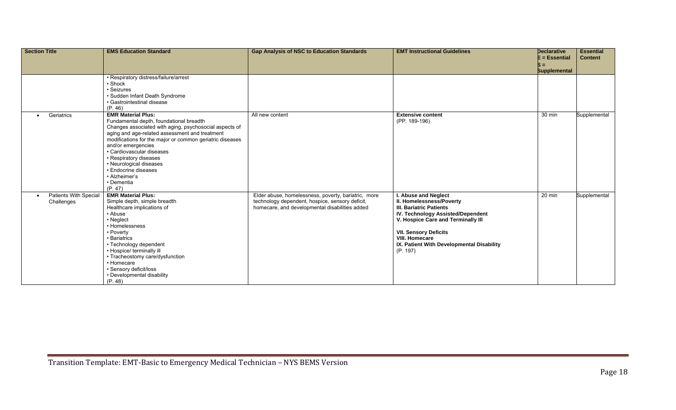| <b>Section Title</b>                       | <b>EMS Education Standard</b>                                                                                                                                                                                                                                                                                                                                                                                          | <b>Gap Analysis of NSC to Education Standards</b>                                                                                                        | <b>EMT Instructional Guidelines</b>                                                                                                                                                                                                                                             | <b>Declarative</b><br>$E = E$ ssential | <b>Essential</b><br><b>Content</b> |
|--------------------------------------------|------------------------------------------------------------------------------------------------------------------------------------------------------------------------------------------------------------------------------------------------------------------------------------------------------------------------------------------------------------------------------------------------------------------------|----------------------------------------------------------------------------------------------------------------------------------------------------------|---------------------------------------------------------------------------------------------------------------------------------------------------------------------------------------------------------------------------------------------------------------------------------|----------------------------------------|------------------------------------|
|                                            |                                                                                                                                                                                                                                                                                                                                                                                                                        |                                                                                                                                                          |                                                                                                                                                                                                                                                                                 | <b>Supplemental</b>                    |                                    |
|                                            | • Respiratory distress/failure/arrest<br>• Shock<br>· Seizures<br>· Sudden Infant Death Syndrome<br>• Gastrointestinal disease<br>(P. 46)                                                                                                                                                                                                                                                                              |                                                                                                                                                          |                                                                                                                                                                                                                                                                                 |                                        |                                    |
| Geriatrics<br>$\bullet$                    | <b>EMR Material Plus:</b><br>Fundamental depth, foundational breadth<br>Changes associated with aging, psychosocial aspects of<br>aging and age-related assessment and treatment<br>modifications for the major or common geriatric diseases<br>and/or emergencies<br>· Cardiovascular diseases<br>• Respiratory diseases<br>• Neurological diseases<br>• Endocrine diseases<br>• Alzheimer's<br>• Dementia<br>(P. 47) | All new content                                                                                                                                          | <b>Extensive content</b><br>(PP. 189-196)                                                                                                                                                                                                                                       | 30 min                                 | Supplemental                       |
| <b>Patients With Special</b><br>Challenges | <b>EMR Material Plus:</b><br>Simple depth, simple breadth<br>Healthcare implications of<br>• Abuse<br>• Neglect<br>• Homelessness<br>• Poverty<br>• Bariatrics<br>• Technology dependent<br>• Hospice/ terminally ill<br>• Tracheostomy care/dysfunction<br>• Homecare<br>• Sensory deficit/loss<br>• Developmental disability<br>(P. 48)                                                                              | Elder abuse, homelessness, poverty, bariatric, more<br>technology dependent, hospice, sensory deficit,<br>homecare, and developmental disabilities added | I. Abuse and Neglect<br>II. Homelessness/Poverty<br><b>III. Bariatric Patients</b><br>IV. Technology Assisted/Dependent<br>V. Hospice Care and Terminally III<br><b>VII. Sensory Deficits</b><br><b>VIII. Homecare</b><br>IX. Patient With Developmental Disability<br>(P. 197) | 20 min                                 | Supplemental                       |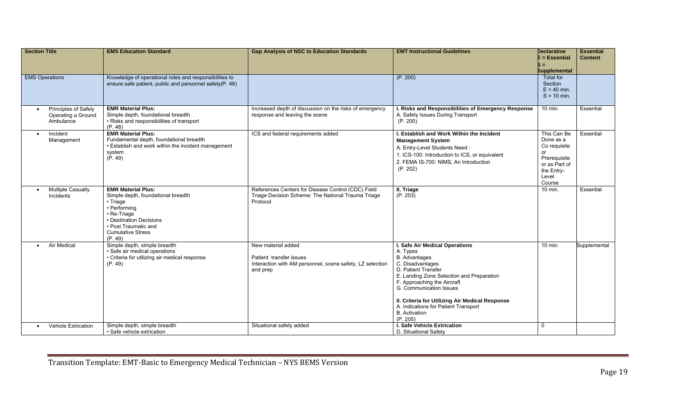| <b>Section Title</b>                                    | <b>EMS Education Standard</b>                                                                                                                                                                        | <b>Gap Analysis of NSC to Education Standards</b>                                                                      | <b>EMT Instructional Guidelines</b>                                                                                                                                                                                                                                                                                                                 | <b>Declarative</b><br>$E = E$ ssential<br>$S =$<br><b>Supplemental</b>                                           | <b>Essential</b><br><b>Content</b> |
|---------------------------------------------------------|------------------------------------------------------------------------------------------------------------------------------------------------------------------------------------------------------|------------------------------------------------------------------------------------------------------------------------|-----------------------------------------------------------------------------------------------------------------------------------------------------------------------------------------------------------------------------------------------------------------------------------------------------------------------------------------------------|------------------------------------------------------------------------------------------------------------------|------------------------------------|
| <b>EMS Operations</b>                                   | Knowledge of operational roles and responsibilities to<br>ensure safe patient, public and personnel safety(P. 48)                                                                                    |                                                                                                                        | (P. 200)                                                                                                                                                                                                                                                                                                                                            | <b>Total for</b><br>Section<br>$E = 40$ min.<br>$S = 10$ min.                                                    |                                    |
| Principles of Safely<br>Operating a Ground<br>Ambulance | <b>EMR Material Plus:</b><br>Simple depth, foundational breadth<br>• Risks and responsibilities of transport<br>(P. 48)                                                                              | Increased depth of discussion on the risks of emergency<br>response and leaving the scene                              | I. Risks and Responsibilities of Emergency Response<br>A. Safety Issues During Transport<br>(P. 200)                                                                                                                                                                                                                                                | 10 min.                                                                                                          | Essential                          |
| Incident<br>$\bullet$<br>Management                     | <b>EMR Material Plus:</b><br>Fundamental depth, foundational breadth<br>• Establish and work within the incident management<br>system<br>(P. 49)                                                     | ICS and federal requirements added                                                                                     | I. Establish and Work Within the Incident<br><b>Management System</b><br>A. Entry-Level Students Need:<br>1. ICS-100: Introduction to ICS, or equivalent<br>2. FEMA IS-700: NIMS. An Introduction<br>(P. 202)                                                                                                                                       | This Can Be<br>Done as a<br>Co requisite<br>or<br>Prerequisite<br>or as Part of<br>the Entry-<br>Level<br>Course | Essential                          |
| <b>Multiple Casualty</b><br>Incidents                   | <b>EMR Material Plus:</b><br>Simple depth, foundational breadth<br>• Triage<br>• Performing<br>• Re-Triage<br>• Destination Decisions<br>• Post Traumatic and<br><b>Cumulative Stress</b><br>(P. 49) | References Centers for Disease Control (CDC) Field<br>Triage Decision Scheme: The National Trauma Triage<br>Protocol   | <b>II. Triage</b><br>(P. 203)                                                                                                                                                                                                                                                                                                                       | 10 min.                                                                                                          | Essential                          |
| Air Medical<br>$\bullet$                                | Simple depth, simple breadth<br>· Safe air medical operations<br>• Criteria for utilizing air medical response<br>(P. 49)                                                                            | New material added<br>Patient transfer issues<br>Interaction with AM personnel, scene safety, LZ selection<br>and prep | I. Safe Air Medical Operations<br>A. Types<br><b>B.</b> Advantages<br>C. Disadvantages<br>D. Patient Transfer<br>E. Landing Zone Selection and Preparation<br>F. Approaching the Aircraft<br>G. Communication Issues<br>II. Criteria for Utilizing Air Medical Response<br>A. Indications for Patient Transport<br><b>B.</b> Activation<br>(P. 205) | $10$ min.                                                                                                        | Supplemental                       |
| <b>Vehicle Extrication</b>                              | Simple depth, simple breadth<br>· Safe vehicle extrication                                                                                                                                           | Situational safety added                                                                                               | <b>I. Safe Vehicle Extrication</b><br>D. Situational Safety                                                                                                                                                                                                                                                                                         | $\mathbf 0$                                                                                                      |                                    |